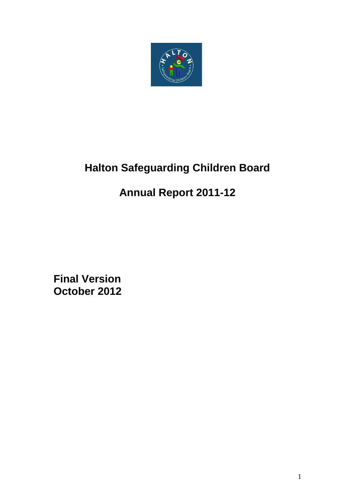

# **Halton Safeguarding Children Board**

# **Annual Report 2011-12**

**Final Version October 2012**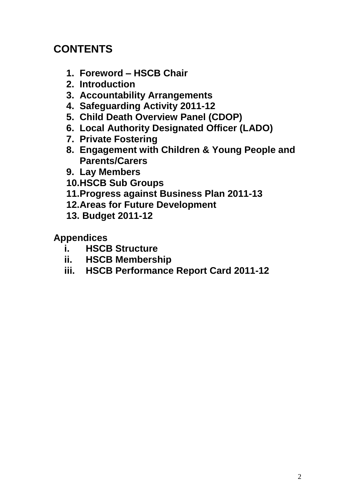# **CONTENTS**

- **1. Foreword – HSCB Chair**
- **2. Introduction**
- **3. Accountability Arrangements**
- **4. Safeguarding Activity 2011-12**
- **5. Child Death Overview Panel (CDOP)**
- **6. Local Authority Designated Officer (LADO)**
- **7. Private Fostering**
- **8. Engagement with Children & Young People and Parents/Carers**
- **9. Lay Members**
- **10.HSCB Sub Groups**
- **11.Progress against Business Plan 2011-13**
- **12.Areas for Future Development**
- **13. Budget 2011-12**

# **Appendices**

- **i. HSCB Structure**
- **ii. HSCB Membership**
- **iii. HSCB Performance Report Card 2011-12**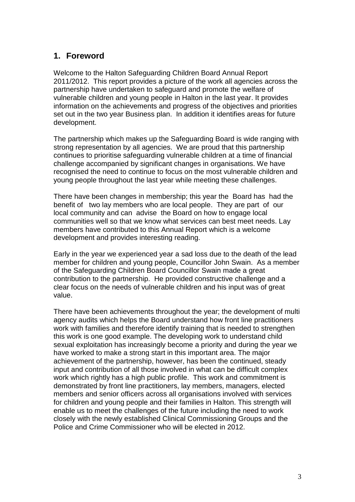#### **1. Foreword**

Welcome to the Halton Safeguarding Children Board Annual Report 2011/2012. This report provides a picture of the work all agencies across the partnership have undertaken to safeguard and promote the welfare of vulnerable children and young people in Halton in the last year. It provides information on the achievements and progress of the objectives and priorities set out in the two year Business plan. In addition it identifies areas for future development.

The partnership which makes up the Safeguarding Board is wide ranging with strong representation by all agencies. We are proud that this partnership continues to prioritise safeguarding vulnerable children at a time of financial challenge accompanied by significant changes in organisations. We have recognised the need to continue to focus on the most vulnerable children and young people throughout the last year while meeting these challenges.

There have been changes in membership; this year the Board has had the benefit of two lay members who are local people. They are part of our local community and can advise the Board on how to engage local communities well so that we know what services can best meet needs. Lay members have contributed to this Annual Report which is a welcome development and provides interesting reading.

Early in the year we experienced year a sad loss due to the death of the lead member for children and young people, Councillor John Swain. As a member of the Safeguarding Children Board Councillor Swain made a great contribution to the partnership. He provided constructive challenge and a clear focus on the needs of vulnerable children and his input was of great value.

There have been achievements throughout the year; the development of multi agency audits which helps the Board understand how front line practitioners work with families and therefore identify training that is needed to strengthen this work is one good example. The developing work to understand child sexual exploitation has increasingly become a priority and during the year we have worked to make a strong start in this important area. The major achievement of the partnership, however, has been the continued, steady input and contribution of all those involved in what can be difficult complex work which rightly has a high public profile. This work and commitment is demonstrated by front line practitioners, lay members, managers, elected members and senior officers across all organisations involved with services for children and young people and their families in Halton. This strength will enable us to meet the challenges of the future including the need to work closely with the newly established Clinical Commissioning Groups and the Police and Crime Commissioner who will be elected in 2012.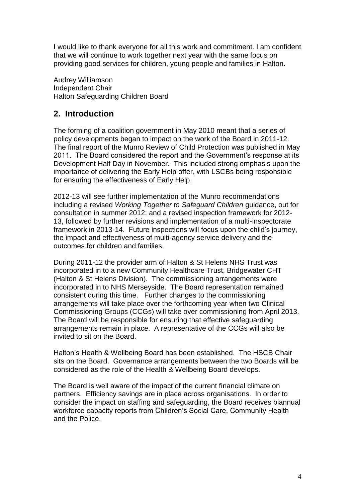I would like to thank everyone for all this work and commitment. I am confident that we will continue to work together next year with the same focus on providing good services for children, young people and families in Halton.

Audrey Williamson Independent Chair Halton Safeguarding Children Board

#### **2. Introduction**

The forming of a coalition government in May 2010 meant that a series of policy developments began to impact on the work of the Board in 2011-12. The final report of the Munro Review of Child Protection was published in May 2011. The Board considered the report and the Government's response at its Development Half Day in November. This included strong emphasis upon the importance of delivering the Early Help offer, with LSCBs being responsible for ensuring the effectiveness of Early Help.

2012-13 will see further implementation of the Munro recommendations including a revised *Working Together to Safeguard Children* guidance, out for consultation in summer 2012; and a revised inspection framework for 2012- 13, followed by further revisions and implementation of a multi-inspectorate framework in 2013-14. Future inspections will focus upon the child's journey, the impact and effectiveness of multi-agency service delivery and the outcomes for children and families.

During 2011-12 the provider arm of Halton & St Helens NHS Trust was incorporated in to a new Community Healthcare Trust, Bridgewater CHT (Halton & St Helens Division). The commissioning arrangements were incorporated in to NHS Merseyside. The Board representation remained consistent during this time. Further changes to the commissioning arrangements will take place over the forthcoming year when two Clinical Commissioning Groups (CCGs) will take over commissioning from April 2013. The Board will be responsible for ensuring that effective safeguarding arrangements remain in place. A representative of the CCGs will also be invited to sit on the Board.

Halton's Health & Wellbeing Board has been established. The HSCB Chair sits on the Board. Governance arrangements between the two Boards will be considered as the role of the Health & Wellbeing Board develops.

The Board is well aware of the impact of the current financial climate on partners. Efficiency savings are in place across organisations. In order to consider the impact on staffing and safeguarding, the Board receives biannual workforce capacity reports from Children's Social Care, Community Health and the Police.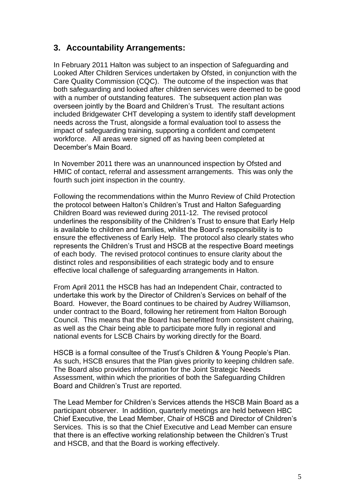#### **3. Accountability Arrangements:**

In February 2011 Halton was subject to an inspection of Safeguarding and Looked After Children Services undertaken by Ofsted, in conjunction with the Care Quality Commission (CQC). The outcome of the inspection was that both safeguarding and looked after children services were deemed to be good with a number of outstanding features. The subsequent action plan was overseen jointly by the Board and Children's Trust. The resultant actions included Bridgewater CHT developing a system to identify staff development needs across the Trust, alongside a formal evaluation tool to assess the impact of safeguarding training, supporting a confident and competent workforce. All areas were signed off as having been completed at December's Main Board.

In November 2011 there was an unannounced inspection by Ofsted and HMIC of contact, referral and assessment arrangements. This was only the fourth such joint inspection in the country.

Following the recommendations within the Munro Review of Child Protection the protocol between Halton's Children's Trust and Halton Safeguarding Children Board was reviewed during 2011-12. The revised protocol underlines the responsibility of the Children's Trust to ensure that Early Help is available to children and families, whilst the Board's responsibility is to ensure the effectiveness of Early Help. The protocol also clearly states who represents the Children's Trust and HSCB at the respective Board meetings of each body. The revised protocol continues to ensure clarity about the distinct roles and responsibilities of each strategic body and to ensure effective local challenge of safeguarding arrangements in Halton.

From April 2011 the HSCB has had an Independent Chair, contracted to undertake this work by the Director of Children's Services on behalf of the Board. However, the Board continues to be chaired by Audrey Williamson, under contract to the Board, following her retirement from Halton Borough Council. This means that the Board has benefitted from consistent chairing, as well as the Chair being able to participate more fully in regional and national events for LSCB Chairs by working directly for the Board.

HSCB is a formal consultee of the Trust's Children & Young People's Plan. As such, HSCB ensures that the Plan gives priority to keeping children safe. The Board also provides information for the Joint Strategic Needs Assessment, within which the priorities of both the Safeguarding Children Board and Children's Trust are reported.

The Lead Member for Children's Services attends the HSCB Main Board as a participant observer. In addition, quarterly meetings are held between HBC Chief Executive, the Lead Member, Chair of HSCB and Director of Children's Services. This is so that the Chief Executive and Lead Member can ensure that there is an effective working relationship between the Children's Trust and HSCB, and that the Board is working effectively.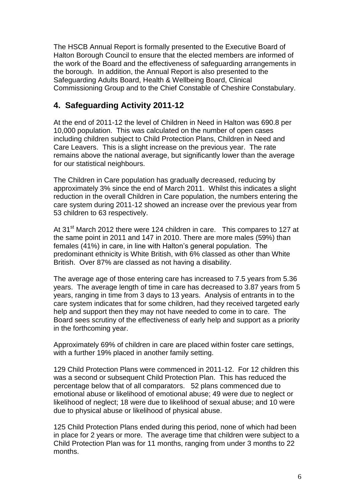The HSCB Annual Report is formally presented to the Executive Board of Halton Borough Council to ensure that the elected members are informed of the work of the Board and the effectiveness of safeguarding arrangements in the borough. In addition, the Annual Report is also presented to the Safeguarding Adults Board, Health & Wellbeing Board, Clinical Commissioning Group and to the Chief Constable of Cheshire Constabulary.

#### **4. Safeguarding Activity 2011-12**

At the end of 2011-12 the level of Children in Need in Halton was 690.8 per 10,000 population. This was calculated on the number of open cases including children subject to Child Protection Plans, Children in Need and Care Leavers. This is a slight increase on the previous year. The rate remains above the national average, but significantly lower than the average for our statistical neighbours.

The Children in Care population has gradually decreased, reducing by approximately 3% since the end of March 2011. Whilst this indicates a slight reduction in the overall Children in Care population, the numbers entering the care system during 2011-12 showed an increase over the previous year from 53 children to 63 respectively.

At 31<sup>st</sup> March 2012 there were 124 children in care. This compares to 127 at the same point in 2011 and 147 in 2010. There are more males (59%) than females (41%) in care, in line with Halton's general population. The predominant ethnicity is White British, with 6% classed as other than White British. Over 87% are classed as not having a disability.

The average age of those entering care has increased to 7.5 years from 5.36 years. The average length of time in care has decreased to 3.87 years from 5 years, ranging in time from 3 days to 13 years. Analysis of entrants in to the care system indicates that for some children, had they received targeted early help and support then they may not have needed to come in to care. The Board sees scrutiny of the effectiveness of early help and support as a priority in the forthcoming year.

Approximately 69% of children in care are placed within foster care settings, with a further 19% placed in another family setting.

129 Child Protection Plans were commenced in 2011-12. For 12 children this was a second or subsequent Child Protection Plan. This has reduced the percentage below that of all comparators. 52 plans commenced due to emotional abuse or likelihood of emotional abuse; 49 were due to neglect or likelihood of neglect; 18 were due to likelihood of sexual abuse; and 10 were due to physical abuse or likelihood of physical abuse.

125 Child Protection Plans ended during this period, none of which had been in place for 2 years or more. The average time that children were subject to a Child Protection Plan was for 11 months, ranging from under 3 months to 22 months.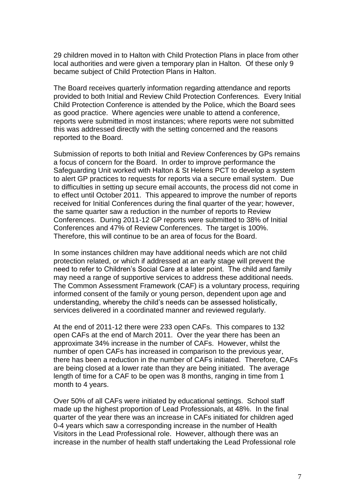29 children moved in to Halton with Child Protection Plans in place from other local authorities and were given a temporary plan in Halton. Of these only 9 became subject of Child Protection Plans in Halton.

The Board receives quarterly information regarding attendance and reports provided to both Initial and Review Child Protection Conferences. Every Initial Child Protection Conference is attended by the Police, which the Board sees as good practice. Where agencies were unable to attend a conference, reports were submitted in most instances; where reports were not submitted this was addressed directly with the setting concerned and the reasons reported to the Board.

Submission of reports to both Initial and Review Conferences by GPs remains a focus of concern for the Board. In order to improve performance the Safeguarding Unit worked with Halton & St Helens PCT to develop a system to alert GP practices to requests for reports via a secure email system. Due to difficulties in setting up secure email accounts, the process did not come in to effect until October 2011. This appeared to improve the number of reports received for Initial Conferences during the final quarter of the year; however, the same quarter saw a reduction in the number of reports to Review Conferences. During 2011-12 GP reports were submitted to 38% of Initial Conferences and 47% of Review Conferences. The target is 100%. Therefore, this will continue to be an area of focus for the Board.

In some instances children may have additional needs which are not child protection related, or which if addressed at an early stage will prevent the need to refer to Children's Social Care at a later point. The child and family may need a range of supportive services to address these additional needs. The Common Assessment Framework (CAF) is a voluntary process, requiring informed consent of the family or young person, dependent upon age and understanding, whereby the child's needs can be assessed holistically, services delivered in a coordinated manner and reviewed regularly.

At the end of 2011-12 there were 233 open CAFs. This compares to 132 open CAFs at the end of March 2011. Over the year there has been an approximate 34% increase in the number of CAFs. However, whilst the number of open CAFs has increased in comparison to the previous year, there has been a reduction in the number of CAFs initiated. Therefore, CAFs are being closed at a lower rate than they are being initiated. The average length of time for a CAF to be open was 8 months, ranging in time from 1 month to 4 years.

Over 50% of all CAFs were initiated by educational settings. School staff made up the highest proportion of Lead Professionals, at 48%. In the final quarter of the year there was an increase in CAFs initiated for children aged 0-4 years which saw a corresponding increase in the number of Health Visitors in the Lead Professional role. However, although there was an increase in the number of health staff undertaking the Lead Professional role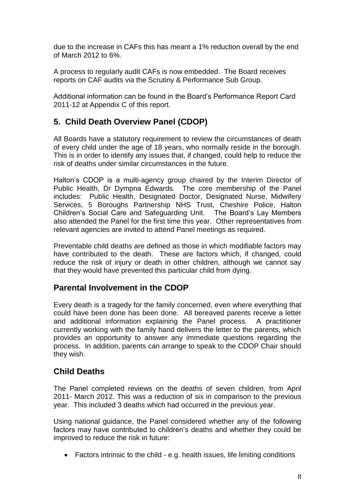due to the increase in CAFs this has meant a 1% reduction overall by the end of March 2012 to 6%.

A process to regularly audit CAFs is now embedded. The Board receives reports on CAF audits via the Scrutiny & Performance Sub Group.

Additional information can be found in the Board's Performance Report Card 2011-12 at Appendix C of this report.

## **5. Child Death Overview Panel (CDOP)**

All Boards have a statutory requirement to review the circumstances of death of every child under the age of 18 years, who normally reside in the borough. This is in order to identify any issues that, if changed, could help to reduce the risk of deaths under similar circumstances in the future.

Halton's CDOP is a multi-agency group chaired by the Interim Director of Public Health, Dr Dympna Edwards. The core membership of the Panel includes: Public Health, Designated Doctor, Designated Nurse, Midwifery Services, 5 Boroughs Partnership NHS Trust, Cheshire Police, Halton Children's Social Care and Safeguarding Unit. The Board's Lay Members also attended the Panel for the first time this year. Other representatives from relevant agencies are invited to attend Panel meetings as required.

Preventable child deaths are defined as those in which modifiable factors may have contributed to the death. These are factors which, if changed, could reduce the risk of injury or death in other children, although we cannot say that they would have prevented this particular child from dying.

#### **Parental Involvement in the CDOP**

Every death is a tragedy for the family concerned, even where everything that could have been done has been done. All bereaved parents receive a letter and additional information explaining the Panel process. A practitioner currently working with the family hand delivers the letter to the parents, which provides an opportunity to answer any immediate questions regarding the process. In addition, parents can arrange to speak to the CDOP Chair should they wish.

#### **Child Deaths**

The Panel completed reviews on the deaths of seven children, from April 2011- March 2012. This was a reduction of six in comparison to the previous year. This included 3 deaths which had occurred in the previous year.

Using national guidance, the Panel considered whether any of the following factors may have contributed to children's deaths and whether they could be improved to reduce the risk in future:

Factors intrinsic to the child - e.g. health issues, life limiting conditions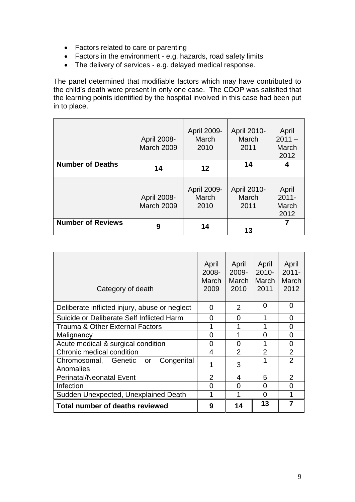- Factors related to care or parenting
- Factors in the environment e.g. hazards, road safety limits
- The delivery of services e.g. delayed medical response.

The panel determined that modifiable factors which may have contributed to the child's death were present in only one case. The CDOP was satisfied that the learning points identified by the hospital involved in this case had been put in to place.

|                          | April 2008-<br>March 2009        | April 2009-<br>March<br>2010 | April 2010-<br>March<br>2011 | April<br>$2011 -$<br>March<br>2012 |
|--------------------------|----------------------------------|------------------------------|------------------------------|------------------------------------|
| <b>Number of Deaths</b>  | 14                               | 12                           | 14                           |                                    |
|                          | April 2008-<br><b>March 2009</b> | April 2009-<br>March<br>2010 | April 2010-<br>March<br>2011 | April<br>$2011 -$<br>March<br>2012 |
| <b>Number of Reviews</b> | 9                                | 14                           | 13                           | 7                                  |

| Category of death                                  | April<br>2008-<br>March<br>2009 | April<br>$2009 -$<br>March<br>2010 | April<br>$2010 -$<br>March<br>2011 | April<br>$2011 -$<br>March<br>2012 |
|----------------------------------------------------|---------------------------------|------------------------------------|------------------------------------|------------------------------------|
| Deliberate inflicted injury, abuse or neglect      | 0                               | 2                                  | 0                                  | 0                                  |
| Suicide or Deliberate Self Inflicted Harm          | 0                               | 0                                  | 1                                  | 0                                  |
| Trauma & Other External Factors                    |                                 | 1                                  | 1                                  | 0                                  |
| Malignancy                                         | 0                               |                                    | 0                                  | $\overline{0}$                     |
| Acute medical & surgical condition                 | 0                               | 0                                  | 1                                  | 0                                  |
| Chronic medical condition                          | 4                               | $\mathfrak{p}$                     | $\overline{2}$                     | $\overline{2}$                     |
| Chromosomal, Genetic or<br>Congenital<br>Anomalies |                                 | 3                                  | 1                                  | $\mathfrak{p}$                     |
| <b>Perinatal/Neonatal Event</b>                    | $\overline{2}$                  | 4                                  | 5                                  | $\overline{2}$                     |
| Infection                                          | 0                               | 0                                  | 0                                  | 0                                  |
| Sudden Unexpected, Unexplained Death               |                                 | 1                                  | 0                                  | 1                                  |
| <b>Total number of deaths reviewed</b>             | 9                               | 14                                 | 13                                 | $\overline{7}$                     |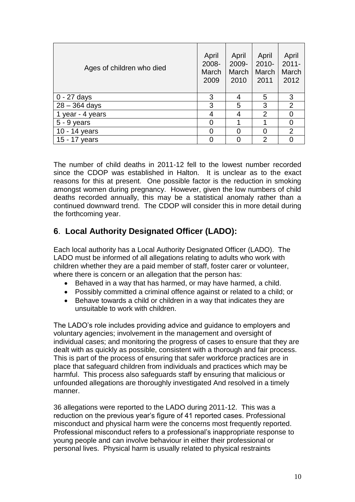| Ages of children who died | April<br>2008-<br>March<br>2009 | April<br>2009-<br>March<br>2010 | April<br>$2010 -$<br>March<br>2011 | April<br>$2011 -$<br>March<br>2012 |
|---------------------------|---------------------------------|---------------------------------|------------------------------------|------------------------------------|
| $0 - 27$ days             | 3                               | 4                               | 5                                  | 3                                  |
| $28 - 364$ days           | 3                               | 5                               | 3                                  | 2                                  |
| 1 year - 4 years          | 4                               | 4                               | $\overline{2}$                     | ∩                                  |
| $5 - 9$ years             | 0                               |                                 | 1                                  | O                                  |
| 10 - 14 years             |                                 |                                 | 0                                  | $\overline{2}$                     |
| $15 - 17$<br>years        |                                 |                                 | $\overline{2}$                     |                                    |

The number of child deaths in 2011-12 fell to the lowest number recorded since the CDOP was established in Halton. It is unclear as to the exact reasons for this at present. One possible factor is the reduction in smoking amongst women during pregnancy. However, given the low numbers of child deaths recorded annually, this may be a statistical anomaly rather than a continued downward trend. The CDOP will consider this in more detail during the forthcoming year.

## **6**. **Local Authority Designated Officer (LADO):**

Each local authority has a Local Authority Designated Officer (LADO). The LADO must be informed of all allegations relating to adults who work with children whether they are a paid member of staff, foster carer or volunteer, where there is concern or an allegation that the person has:

- Behaved in a way that has harmed, or may have harmed, a child.
- Possibly committed a criminal offence against or related to a child; or
- Behave towards a child or children in a way that indicates they are unsuitable to work with children.

The LADO's role includes providing advice and guidance to employers and voluntary agencies; involvement in the management and oversight of individual cases; and monitoring the progress of cases to ensure that they are dealt with as quickly as possible, consistent with a thorough and fair process. This is part of the process of ensuring that safer workforce practices are in place that safeguard children from individuals and practices which may be harmful. This process also safeguards staff by ensuring that malicious or unfounded allegations are thoroughly investigated And resolved in a timely manner.

36 allegations were reported to the LADO during 2011-12. This was a reduction on the previous year's figure of 41 reported cases. Professional misconduct and physical harm were the concerns most frequently reported. Professional misconduct refers to a professional's inappropriate response to young people and can involve behaviour in either their professional or personal lives. Physical harm is usually related to physical restraints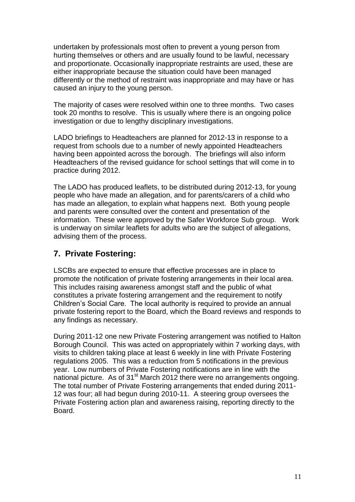undertaken by professionals most often to prevent a young person from hurting themselves or others and are usually found to be lawful, necessary and proportionate. Occasionally inappropriate restraints are used, these are either inappropriate because the situation could have been managed differently or the method of restraint was inappropriate and may have or has caused an injury to the young person.

The majority of cases were resolved within one to three months. Two cases took 20 months to resolve. This is usually where there is an ongoing police investigation or due to lengthy disciplinary investigations.

LADO briefings to Headteachers are planned for 2012-13 in response to a request from schools due to a number of newly appointed Headteachers having been appointed across the borough. The briefings will also inform Headteachers of the revised guidance for school settings that will come in to practice during 2012.

The LADO has produced leaflets, to be distributed during 2012-13, for young people who have made an allegation, and for parents/carers of a child who has made an allegation, to explain what happens next. Both young people and parents were consulted over the content and presentation of the information. These were approved by the Safer Workforce Sub group. Work is underway on similar leaflets for adults who are the subject of allegations, advising them of the process.

#### **7. Private Fostering:**

LSCBs are expected to ensure that effective processes are in place to promote the notification of private fostering arrangements in their local area. This includes raising awareness amongst staff and the public of what constitutes a private fostering arrangement and the requirement to notify Children's Social Care. The local authority is required to provide an annual private fostering report to the Board, which the Board reviews and responds to any findings as necessary.

During 2011-12 one new Private Fostering arrangement was notified to Halton Borough Council. This was acted on appropriately within 7 working days, with visits to children taking place at least 6 weekly in line with Private Fostering regulations 2005. This was a reduction from 5 notifications in the previous year. Low numbers of Private Fostering notifications are in line with the national picture. As of 31<sup>st</sup> March 2012 there were no arrangements ongoing. The total number of Private Fostering arrangements that ended during 2011- 12 was four; all had begun during 2010-11. A steering group oversees the Private Fostering action plan and awareness raising, reporting directly to the Board.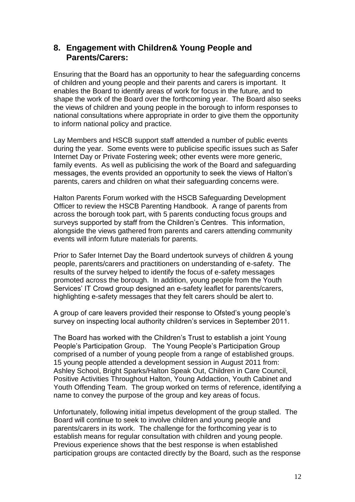#### **8. Engagement with Children& Young People and Parents/Carers:**

Ensuring that the Board has an opportunity to hear the safeguarding concerns of children and young people and their parents and carers is important. It enables the Board to identify areas of work for focus in the future, and to shape the work of the Board over the forthcoming year. The Board also seeks the views of children and young people in the borough to inform responses to national consultations where appropriate in order to give them the opportunity to inform national policy and practice.

Lay Members and HSCB support staff attended a number of public events during the year. Some events were to publicise specific issues such as Safer Internet Day or Private Fostering week; other events were more generic, family events. As well as publicising the work of the Board and safeguarding messages, the events provided an opportunity to seek the views of Halton's parents, carers and children on what their safeguarding concerns were.

Halton Parents Forum worked with the HSCB Safeguarding Development Officer to review the HSCB Parenting Handbook. A range of parents from across the borough took part, with 5 parents conducting focus groups and surveys supported by staff from the Children's Centres. This information, alongside the views gathered from parents and carers attending community events will inform future materials for parents.

Prior to Safer Internet Day the Board undertook surveys of children & young people, parents/carers and practitioners on understanding of e-safety. The results of the survey helped to identify the focus of e-safety messages promoted across the borough. In addition, young people from the Youth Services' IT Crowd group designed an e-safety leaflet for parents/carers, highlighting e-safety messages that they felt carers should be alert to.

A group of care leavers provided their response to Ofsted's young people's survey on inspecting local authority children's services in September 2011.

The Board has worked with the Children's Trust to establish a joint Young People's Participation Group. The Young People's Participation Group comprised of a number of young people from a range of established groups. 15 young people attended a development session in August 2011 from: Ashley School, Bright Sparks/Halton Speak Out, Children in Care Council, Positive Activities Throughout Halton, Young Addaction, Youth Cabinet and Youth Offending Team. The group worked on terms of reference, identifying a name to convey the purpose of the group and key areas of focus.

Unfortunately, following initial impetus development of the group stalled. The Board will continue to seek to involve children and young people and parents/carers in its work. The challenge for the forthcoming year is to establish means for regular consultation with children and young people. Previous experience shows that the best response is when established participation groups are contacted directly by the Board, such as the response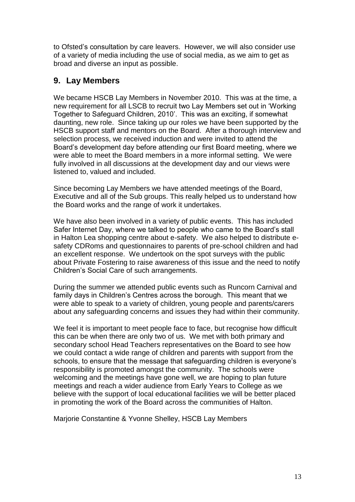to Ofsted's consultation by care leavers. However, we will also consider use of a variety of media including the use of social media, as we aim to get as broad and diverse an input as possible.

## **9. Lay Members**

We became HSCB Lay Members in November 2010. This was at the time, a new requirement for all LSCB to recruit two Lay Members set out in 'Working Together to Safeguard Children, 2010'. This was an exciting, if somewhat daunting, new role. Since taking up our roles we have been supported by the HSCB support staff and mentors on the Board. After a thorough interview and selection process, we received induction and were invited to attend the Board's development day before attending our first Board meeting, where we were able to meet the Board members in a more informal setting. We were fully involved in all discussions at the development day and our views were listened to, valued and included.

Since becoming Lay Members we have attended meetings of the Board, Executive and all of the Sub groups. This really helped us to understand how the Board works and the range of work it undertakes.

We have also been involved in a variety of public events. This has included Safer Internet Day, where we talked to people who came to the Board's stall in Halton Lea shopping centre about e-safety. We also helped to distribute esafety CDRoms and questionnaires to parents of pre-school children and had an excellent response. We undertook on the spot surveys with the public about Private Fostering to raise awareness of this issue and the need to notify Children's Social Care of such arrangements.

During the summer we attended public events such as Runcorn Carnival and family days in Children's Centres across the borough. This meant that we were able to speak to a variety of children, young people and parents/carers about any safeguarding concerns and issues they had within their community.

We feel it is important to meet people face to face, but recognise how difficult this can be when there are only two of us. We met with both primary and secondary school Head Teachers representatives on the Board to see how we could contact a wide range of children and parents with support from the schools, to ensure that the message that safeguarding children is everyone's responsibility is promoted amongst the community. The schools were welcoming and the meetings have gone well, we are hoping to plan future meetings and reach a wider audience from Early Years to College as we believe with the support of local educational facilities we will be better placed in promoting the work of the Board across the communities of Halton.

Marjorie Constantine & Yvonne Shelley, HSCB Lay Members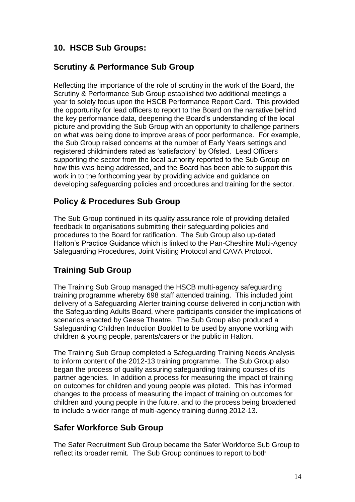## **10. HSCB Sub Groups:**

#### **Scrutiny & Performance Sub Group**

Reflecting the importance of the role of scrutiny in the work of the Board, the Scrutiny & Performance Sub Group established two additional meetings a year to solely focus upon the HSCB Performance Report Card. This provided the opportunity for lead officers to report to the Board on the narrative behind the key performance data, deepening the Board's understanding of the local picture and providing the Sub Group with an opportunity to challenge partners on what was being done to improve areas of poor performance. For example, the Sub Group raised concerns at the number of Early Years settings and registered childminders rated as 'satisfactory' by Ofsted. Lead Officers supporting the sector from the local authority reported to the Sub Group on how this was being addressed, and the Board has been able to support this work in to the forthcoming year by providing advice and guidance on developing safeguarding policies and procedures and training for the sector.

#### **Policy & Procedures Sub Group**

The Sub Group continued in its quality assurance role of providing detailed feedback to organisations submitting their safeguarding policies and procedures to the Board for ratification. The Sub Group also up-dated Halton's Practice Guidance which is linked to the Pan-Cheshire Multi-Agency Safeguarding Procedures, Joint Visiting Protocol and CAVA Protocol.

#### **Training Sub Group**

The Training Sub Group managed the HSCB multi-agency safeguarding training programme whereby 698 staff attended training. This included joint delivery of a Safeguarding Alerter training course delivered in conjunction with the Safeguarding Adults Board, where participants consider the implications of scenarios enacted by Geese Theatre. The Sub Group also produced a Safeguarding Children Induction Booklet to be used by anyone working with children & young people, parents/carers or the public in Halton.

The Training Sub Group completed a Safeguarding Training Needs Analysis to inform content of the 2012-13 training programme. The Sub Group also began the process of quality assuring safeguarding training courses of its partner agencies. In addition a process for measuring the impact of training on outcomes for children and young people was piloted. This has informed changes to the process of measuring the impact of training on outcomes for children and young people in the future, and to the process being broadened to include a wider range of multi-agency training during 2012-13.

#### **Safer Workforce Sub Group**

The Safer Recruitment Sub Group became the Safer Workforce Sub Group to reflect its broader remit. The Sub Group continues to report to both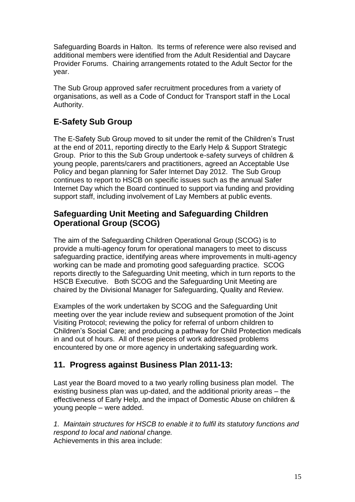Safeguarding Boards in Halton. Its terms of reference were also revised and additional members were identified from the Adult Residential and Daycare Provider Forums. Chairing arrangements rotated to the Adult Sector for the year.

The Sub Group approved safer recruitment procedures from a variety of organisations, as well as a Code of Conduct for Transport staff in the Local Authority.

## **E-Safety Sub Group**

The E-Safety Sub Group moved to sit under the remit of the Children's Trust at the end of 2011, reporting directly to the Early Help & Support Strategic Group. Prior to this the Sub Group undertook e-safety surveys of children & young people, parents/carers and practitioners, agreed an Acceptable Use Policy and began planning for Safer Internet Day 2012. The Sub Group continues to report to HSCB on specific issues such as the annual Safer Internet Day which the Board continued to support via funding and providing support staff, including involvement of Lay Members at public events.

#### **Safeguarding Unit Meeting and Safeguarding Children Operational Group (SCOG)**

The aim of the Safeguarding Children Operational Group (SCOG) is to provide a multi-agency forum for operational managers to meet to discuss safeguarding practice, identifying areas where improvements in multi-agency working can be made and promoting good safeguarding practice. SCOG reports directly to the Safeguarding Unit meeting, which in turn reports to the HSCB Executive. Both SCOG and the Safeguarding Unit Meeting are chaired by the Divisional Manager for Safeguarding, Quality and Review.

Examples of the work undertaken by SCOG and the Safeguarding Unit meeting over the year include review and subsequent promotion of the Joint Visiting Protocol; reviewing the policy for referral of unborn children to Children's Social Care; and producing a pathway for Child Protection medicals in and out of hours. All of these pieces of work addressed problems encountered by one or more agency in undertaking safeguarding work.

#### **11. Progress against Business Plan 2011-13:**

Last year the Board moved to a two yearly rolling business plan model. The existing business plan was up-dated, and the additional priority areas – the effectiveness of Early Help, and the impact of Domestic Abuse on children & young people – were added.

*1. Maintain structures for HSCB to enable it to fulfil its statutory functions and respond to local and national change.* Achievements in this area include: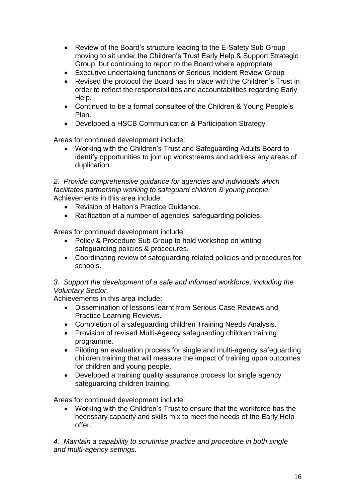- Review of the Board's structure leading to the E-Safety Sub Group moving to sit under the Children's Trust Early Help & Support Strategic Group, but continuing to report to the Board where appropriate
- Executive undertaking functions of Serious Incident Review Group
- Revised the protocol the Board has in place with the Children's Trust in order to reflect the responsibilities and accountabilities regarding Early Help.
- Continued to be a formal consultee of the Children & Young People's Plan.
- Developed a HSCB Communication & Participation Strategy

Areas for continued development include:

 Working with the Children's Trust and Safeguarding Adults Board to identify opportunities to join up workstreams and address any areas of duplication.

#### *2. Provide comprehensive guidance for agencies and individuals which facilitates partnership working to safeguard children & young people.* Achievements in this area include:

- Revision of Halton's Practice Guidance.
- Ratification of a number of agencies' safeguarding policies.

Areas for continued development include:

- Policy & Procedure Sub Group to hold workshop on writing safeguarding policies & procedures.
- Coordinating review of safeguarding related policies and procedures for schools.

#### *3. Support the development of a safe and informed workforce, including the Voluntary Sector.*

Achievements in this area include:

- Dissemination of lessons learnt from Serious Case Reviews and Practice Learning Reviews.
- Completion of a safeguarding children Training Needs Analysis.
- Provision of revised Multi-Agency safeguarding children training programme.
- Piloting an evaluation process for single and multi-agency safeguarding children training that will measure the impact of training upon outcomes for children and young people.
- Developed a training quality assurance process for single agency safeguarding children training.

Areas for continued development include:

 Working with the Children's Trust to ensure that the workforce has the necessary capacity and skills mix to meet the needs of the Early Help offer.

*4. Maintain a capability to scrutinise practice and procedure in both single and multi-agency settings.*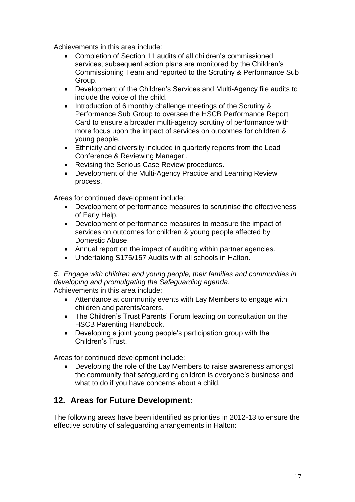Achievements in this area include:

- Completion of Section 11 audits of all children's commissioned services; subsequent action plans are monitored by the Children's Commissioning Team and reported to the Scrutiny & Performance Sub Group.
- Development of the Children's Services and Multi-Agency file audits to include the voice of the child.
- Introduction of 6 monthly challenge meetings of the Scrutiny & Performance Sub Group to oversee the HSCB Performance Report Card to ensure a broader multi-agency scrutiny of performance with more focus upon the impact of services on outcomes for children & young people.
- Ethnicity and diversity included in quarterly reports from the Lead Conference & Reviewing Manager .
- Revising the Serious Case Review procedures.
- Development of the Multi-Agency Practice and Learning Review process.

Areas for continued development include:

- Development of performance measures to scrutinise the effectiveness of Early Help.
- Development of performance measures to measure the impact of services on outcomes for children & young people affected by Domestic Abuse.
- Annual report on the impact of auditing within partner agencies.
- Undertaking S175/157 Audits with all schools in Halton.

*5. Engage with children and young people, their families and communities in developing and promulgating the Safeguarding agenda.* Achievements in this area include:

- Attendance at community events with Lay Members to engage with children and parents/carers.
- The Children's Trust Parents' Forum leading on consultation on the HSCB Parenting Handbook.
- Developing a joint young people's participation group with the Children's Trust.

Areas for continued development include:

 Developing the role of the Lay Members to raise awareness amongst the community that safeguarding children is everyone's business and what to do if you have concerns about a child.

#### **12. Areas for Future Development:**

The following areas have been identified as priorities in 2012-13 to ensure the effective scrutiny of safeguarding arrangements in Halton: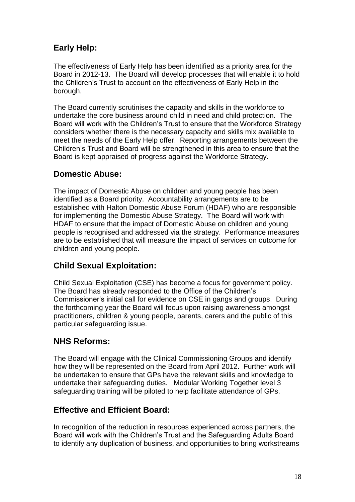## **Early Help:**

The effectiveness of Early Help has been identified as a priority area for the Board in 2012-13. The Board will develop processes that will enable it to hold the Children's Trust to account on the effectiveness of Early Help in the borough.

The Board currently scrutinises the capacity and skills in the workforce to undertake the core business around child in need and child protection. The Board will work with the Children's Trust to ensure that the Workforce Strategy considers whether there is the necessary capacity and skills mix available to meet the needs of the Early Help offer. Reporting arrangements between the Children's Trust and Board will be strengthened in this area to ensure that the Board is kept appraised of progress against the Workforce Strategy.

#### **Domestic Abuse:**

The impact of Domestic Abuse on children and young people has been identified as a Board priority. Accountability arrangements are to be established with Halton Domestic Abuse Forum (HDAF) who are responsible for implementing the Domestic Abuse Strategy. The Board will work with HDAF to ensure that the impact of Domestic Abuse on children and young people is recognised and addressed via the strategy. Performance measures are to be established that will measure the impact of services on outcome for children and young people.

## **Child Sexual Exploitation:**

Child Sexual Exploitation (CSE) has become a focus for government policy. The Board has already responded to the Office of the Children's Commissioner's initial call for evidence on CSE in gangs and groups. During the forthcoming year the Board will focus upon raising awareness amongst practitioners, children & young people, parents, carers and the public of this particular safeguarding issue.

## **NHS Reforms:**

The Board will engage with the Clinical Commissioning Groups and identify how they will be represented on the Board from April 2012. Further work will be undertaken to ensure that GPs have the relevant skills and knowledge to undertake their safeguarding duties. Modular Working Together level 3 safeguarding training will be piloted to help facilitate attendance of GPs.

#### **Effective and Efficient Board:**

In recognition of the reduction in resources experienced across partners, the Board will work with the Children's Trust and the Safeguarding Adults Board to identify any duplication of business, and opportunities to bring workstreams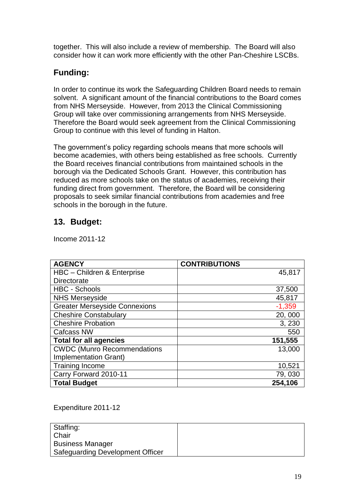together. This will also include a review of membership. The Board will also consider how it can work more efficiently with the other Pan-Cheshire LSCBs.

# **Funding:**

In order to continue its work the Safeguarding Children Board needs to remain solvent. A significant amount of the financial contributions to the Board comes from NHS Merseyside. However, from 2013 the Clinical Commissioning Group will take over commissioning arrangements from NHS Merseyside. Therefore the Board would seek agreement from the Clinical Commissioning Group to continue with this level of funding in Halton.

The government's policy regarding schools means that more schools will become academies, with others being established as free schools. Currently the Board receives financial contributions from maintained schools in the borough via the Dedicated Schools Grant. However, this contribution has reduced as more schools take on the status of academies, receiving their funding direct from government. Therefore, the Board will be considering proposals to seek similar financial contributions from academies and free schools in the borough in the future.

# **13. Budget:**

Income 2011-12

| <b>AGENCY</b>                        | <b>CONTRIBUTIONS</b> |
|--------------------------------------|----------------------|
| HBC - Children & Enterprise          | 45,817               |
| <b>Directorate</b>                   |                      |
| <b>HBC - Schools</b>                 | 37,500               |
| <b>NHS Merseyside</b>                | 45,817               |
| <b>Greater Merseyside Connexions</b> | $-1,359$             |
| <b>Cheshire Constabulary</b>         | 20,000               |
| <b>Cheshire Probation</b>            | 3, 230               |
| <b>Cafcass NW</b>                    | 550                  |
| <b>Total for all agencies</b>        | 151,555              |
| <b>CWDC (Munro Recommendations</b>   | 13,000               |
| <b>Implementation Grant)</b>         |                      |
| <b>Training Income</b>               | 10,521               |
| Carry Forward 2010-11                | 79,030               |
| <b>Total Budget</b>                  | 254,106              |

Expenditure 2011-12

| Staffing:<br>Chair               |  |
|----------------------------------|--|
| <b>Business Manager</b>          |  |
| Safeguarding Development Officer |  |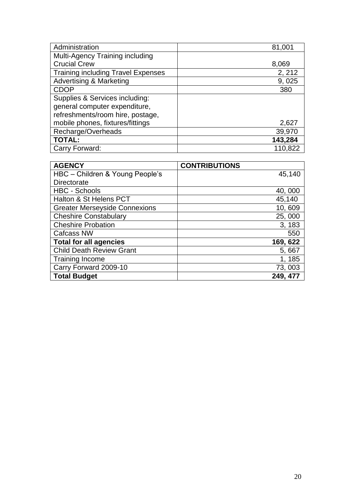| Administration                            | 81,001  |
|-------------------------------------------|---------|
| Multi-Agency Training including           |         |
| <b>Crucial Crew</b>                       | 8,069   |
| <b>Training including Travel Expenses</b> | 2, 212  |
| <b>Advertising &amp; Marketing</b>        | 9,025   |
| <b>CDOP</b>                               | 380     |
| Supplies & Services including:            |         |
| general computer expenditure,             |         |
| refreshments/room hire, postage,          |         |
| mobile phones, fixtures/fittings          | 2,627   |
| Recharge/Overheads                        | 39,970  |
| <b>TOTAL:</b>                             | 143,284 |
| Carry Forward:                            | 110,822 |

| <b>AGENCY</b>                        | <b>CONTRIBUTIONS</b> |
|--------------------------------------|----------------------|
| HBC - Children & Young People's      | 45,140               |
| <b>Directorate</b>                   |                      |
| <b>HBC - Schools</b>                 | 40,000               |
| Halton & St Helens PCT               | 45,140               |
| <b>Greater Merseyside Connexions</b> | 10,609               |
| <b>Cheshire Constabulary</b>         | 25,000               |
| <b>Cheshire Probation</b>            | 3, 183               |
| <b>Cafcass NW</b>                    | 550                  |
| <b>Total for all agencies</b>        | 169, 622             |
| <b>Child Death Review Grant</b>      | 5,667                |
| <b>Training Income</b>               | 1, 185               |
| Carry Forward 2009-10                | 73,003               |
| <b>Total Budget</b>                  | 249, 477             |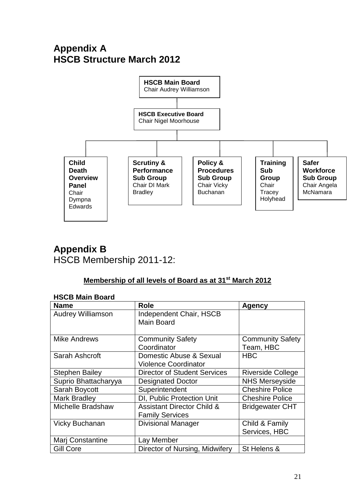# **Appendix A HSCB Structure March 2012**



# **Appendix B** HSCB Membership 2011-12:

#### **Membership of all levels of Board as at 31st March 2012**

#### **HSCB Main Board**

| <b>Name</b>              | <b>Role</b>                                                     | <b>Agency</b>                        |
|--------------------------|-----------------------------------------------------------------|--------------------------------------|
| <b>Audrey Williamson</b> | Independent Chair, HSCB<br><b>Main Board</b>                    |                                      |
| <b>Mike Andrews</b>      | <b>Community Safety</b><br>Coordinator                          | <b>Community Safety</b><br>Team, HBC |
| Sarah Ashcroft           | Domestic Abuse & Sexual<br><b>Violence Coordinator</b>          | <b>HBC</b>                           |
| <b>Stephen Bailey</b>    | <b>Director of Student Services</b>                             | <b>Riverside College</b>             |
| Suprio Bhattacharyya     | <b>Designated Doctor</b>                                        | <b>NHS Merseyside</b>                |
| Sarah Boycott            | Superintendent                                                  | <b>Cheshire Police</b>               |
| <b>Mark Bradley</b>      | DI, Public Protection Unit                                      | <b>Cheshire Police</b>               |
| <b>Michelle Bradshaw</b> | <b>Assistant Director Child &amp;</b><br><b>Family Services</b> | <b>Bridgewater CHT</b>               |
| <b>Vicky Buchanan</b>    | <b>Divisional Manager</b>                                       | Child & Family<br>Services, HBC      |
| Marj Constantine         | Lay Member                                                      |                                      |
| Gill Core                | Director of Nursing, Midwifery                                  | St Helens &                          |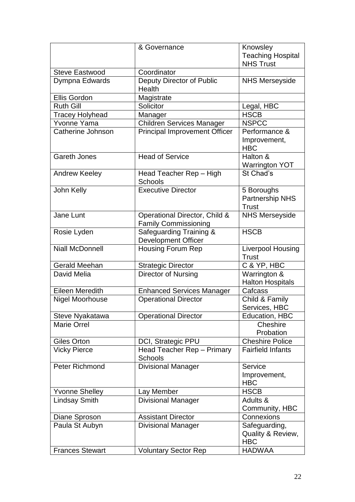|                        | & Governance                                                 | Knowsley<br><b>Teaching Hospital</b><br><b>NHS Trust</b> |
|------------------------|--------------------------------------------------------------|----------------------------------------------------------|
| <b>Steve Eastwood</b>  | Coordinator                                                  |                                                          |
| Dympna Edwards         | Deputy Director of Public<br>Health                          | <b>NHS Merseyside</b>                                    |
| Ellis Gordon           | Magistrate                                                   |                                                          |
| <b>Ruth Gill</b>       | Solicitor                                                    | Legal, HBC                                               |
| Tracey Holyhead        | Manager                                                      | <b>HSCB</b>                                              |
| Yvonne Yama            | <b>Children Services Manager</b>                             | <b>NSPCC</b>                                             |
| Catherine Johnson      | <b>Principal Improvement Officer</b>                         | Performance &<br>Improvement,<br><b>HBC</b>              |
| <b>Gareth Jones</b>    | <b>Head of Service</b>                                       | Halton &<br><b>Warrington YOT</b>                        |
| Andrew Keeley          | Head Teacher Rep - High<br>Schools                           | St Chad's                                                |
| John Kelly             | <b>Executive Director</b>                                    | 5 Boroughs<br>Partnership NHS<br><b>Trust</b>            |
| Jane Lunt              | Operational Director, Child &<br><b>Family Commissioning</b> | <b>NHS Merseyside</b>                                    |
| Rosie Lyden            | Safeguarding Training &<br><b>Development Officer</b>        | <b>HSCB</b>                                              |
| <b>Niall McDonnell</b> | <b>Housing Forum Rep</b>                                     | Liverpool Housing<br><b>Trust</b>                        |
| <b>Gerald Meehan</b>   | <b>Strategic Director</b>                                    | C & YP, HBC                                              |
| David Melia            | Director of Nursing                                          | Warrington &<br><b>Halton Hospitals</b>                  |
| <b>Eileen Meredith</b> | <b>Enhanced Services Manager</b>                             | Cafcass                                                  |
| Nigel Moorhouse        | <b>Operational Director</b>                                  | Child & Family<br>Services, HBC                          |
| Steve Nyakatawa        | <b>Operational Director</b>                                  | Education, HBC                                           |
| <b>Marie Orrel</b>     |                                                              | Cheshire<br>Probation                                    |
| Giles Orton            | DCI, Strategic PPU                                           | <b>Cheshire Police</b>                                   |
| <b>Vicky Pierce</b>    | Head Teacher Rep - Primary<br><b>Schools</b>                 | <b>Fairfield Infants</b>                                 |
| <b>Peter Richmond</b>  | <b>Divisional Manager</b>                                    | Service<br>Improvement,<br><b>HBC</b>                    |
| <b>Yvonne Shelley</b>  | Lay Member                                                   | <b>HSCB</b>                                              |
| <b>Lindsay Smith</b>   | <b>Divisional Manager</b>                                    | Adults &<br>Community, HBC                               |
| Diane Sproson          | <b>Assistant Director</b>                                    | Connexions                                               |
| Paula St Aubyn         | <b>Divisional Manager</b>                                    | Safeguarding,<br>Quality & Review,<br><b>HBC</b>         |
| <b>Frances Stewart</b> | <b>Voluntary Sector Rep</b>                                  | <b>HADWAA</b>                                            |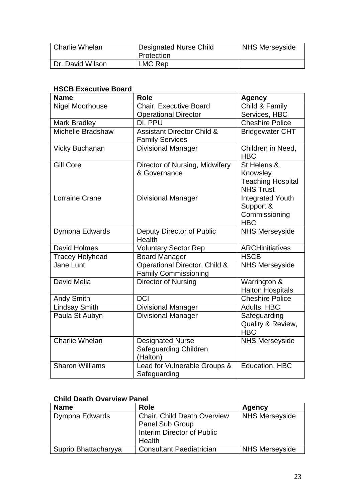| Charlie Whelan   | <b>Designated Nurse Child</b><br>Protection | <b>NHS Merseyside</b> |
|------------------|---------------------------------------------|-----------------------|
| Dr. David Wilson | LMC Rep                                     |                       |

#### **HSCB Executive Board**

| <b>Name</b>                         | <b>Role</b>                                                  | <b>Agency</b>                                |
|-------------------------------------|--------------------------------------------------------------|----------------------------------------------|
| <b>Nigel Moorhouse</b>              | <b>Chair, Executive Board</b>                                | Child & Family                               |
|                                     | <b>Operational Director</b>                                  | Services, HBC                                |
| <b>Mark Bradley</b>                 | DI, PPU                                                      | <b>Cheshire Police</b>                       |
| Michelle Bradshaw                   | <b>Assistant Director Child &amp;</b>                        | <b>Bridgewater CHT</b>                       |
|                                     | <b>Family Services</b>                                       |                                              |
| <b>Vicky Buchanan</b>               | <b>Divisional Manager</b>                                    | Children in Need,<br><b>HBC</b>              |
| <b>Gill Core</b>                    | Director of Nursing, Midwifery                               | St Helens &                                  |
|                                     | & Governance                                                 | Knowsley                                     |
|                                     |                                                              | <b>Teaching Hospital</b><br><b>NHS Trust</b> |
| <b>Lorraine Crane</b>               | <b>Divisional Manager</b>                                    | <b>Integrated Youth</b>                      |
|                                     |                                                              | Support &                                    |
|                                     |                                                              | Commissioning                                |
|                                     |                                                              | <b>HBC</b>                                   |
| Dympna Edwards                      | Deputy Director of Public<br>Health                          | <b>NHS Merseyside</b>                        |
| David Holmes                        |                                                              | <b>ARCHinitiatives</b>                       |
|                                     | <b>Voluntary Sector Rep</b>                                  | <b>HSCB</b>                                  |
| <b>Tracey Holyhead</b><br>Jane Lunt | <b>Board Manager</b>                                         |                                              |
|                                     | Operational Director, Child &<br><b>Family Commissioning</b> | <b>NHS Merseyside</b>                        |
| David Melia                         | Director of Nursing                                          | Warrington &                                 |
|                                     |                                                              | <b>Halton Hospitals</b>                      |
| <b>Andy Smith</b>                   | <b>DCI</b>                                                   | <b>Cheshire Police</b>                       |
| <b>Lindsay Smith</b>                | <b>Divisional Manager</b>                                    | Adults, HBC                                  |
| Paula St Aubyn                      | <b>Divisional Manager</b>                                    | Safeguarding                                 |
|                                     |                                                              | Quality & Review,<br><b>HBC</b>              |
| <b>Charlie Whelan</b>               | <b>Designated Nurse</b>                                      | <b>NHS Merseyside</b>                        |
|                                     | Safeguarding Children                                        |                                              |
|                                     | (Halton)                                                     |                                              |
| <b>Sharon Williams</b>              | Lead for Vulnerable Groups &                                 | Education, HBC                               |
|                                     | Safeguarding                                                 |                                              |

#### **Child Death Overview Panel**

| <b>Name</b>          | Role                               | Agency                |
|----------------------|------------------------------------|-----------------------|
| Dympna Edwards       | <b>Chair, Child Death Overview</b> | <b>NHS Merseyside</b> |
|                      | Panel Sub Group                    |                       |
|                      | Interim Director of Public         |                       |
|                      | Health                             |                       |
| Suprio Bhattacharyya | <b>Consultant Paediatrician</b>    | <b>NHS Merseyside</b> |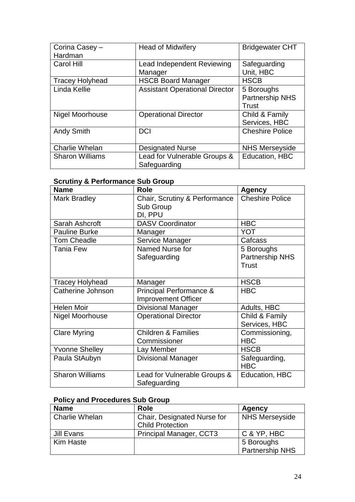| Corina Casey -<br>Hardman | <b>Head of Midwifery</b>                     | <b>Bridgewater CHT</b>                        |
|---------------------------|----------------------------------------------|-----------------------------------------------|
| Carol Hill                | Lead Independent Reviewing<br>Manager        | Safeguarding<br>Unit, HBC                     |
| <b>Tracey Holyhead</b>    | <b>HSCB Board Manager</b>                    | <b>HSCB</b>                                   |
| Linda Kellie              | <b>Assistant Operational Director</b>        | 5 Boroughs<br><b>Partnership NHS</b><br>Trust |
| <b>Nigel Moorhouse</b>    | <b>Operational Director</b>                  | Child & Family<br>Services, HBC               |
| <b>Andy Smith</b>         | <b>DCI</b>                                   | <b>Cheshire Police</b>                        |
| <b>Charlie Whelan</b>     | <b>Designated Nurse</b>                      | <b>NHS Merseyside</b>                         |
| <b>Sharon Williams</b>    | Lead for Vulnerable Groups &<br>Safeguarding | Education, HBC                                |

#### **Scrutiny & Performance Sub Group**

| <b>Name</b>            | <b>Role</b>                    | <b>Agency</b>          |  |  |
|------------------------|--------------------------------|------------------------|--|--|
| <b>Mark Bradley</b>    | Chair, Scrutiny & Performance  | <b>Cheshire Police</b> |  |  |
|                        | Sub Group                      |                        |  |  |
|                        | DI, PPU                        |                        |  |  |
| Sarah Ashcroft         | <b>DASV Coordinator</b>        | <b>HBC</b>             |  |  |
| <b>Pauline Burke</b>   | Manager                        | YOT                    |  |  |
| <b>Tom Cheadle</b>     | Service Manager                | Cafcass                |  |  |
| <b>Tania Few</b>       | Named Nurse for                | 5 Boroughs             |  |  |
|                        | Safeguarding                   | Partnership NHS        |  |  |
|                        |                                | <b>Trust</b>           |  |  |
|                        |                                |                        |  |  |
| <b>Tracey Holyhead</b> | Manager                        | <b>HSCB</b>            |  |  |
| Catherine Johnson      | Principal Performance &        | <b>HBC</b>             |  |  |
|                        | <b>Improvement Officer</b>     |                        |  |  |
| <b>Helen Moir</b>      | <b>Divisional Manager</b>      | Adults, HBC            |  |  |
| Nigel Moorhouse        | <b>Operational Director</b>    | Child & Family         |  |  |
|                        |                                | Services, HBC          |  |  |
| <b>Clare Myring</b>    | <b>Children &amp; Families</b> | Commissioning,         |  |  |
|                        | Commissioner                   | <b>HBC</b>             |  |  |
| <b>Yvonne Shelley</b>  | Lay Member                     | <b>HSCB</b>            |  |  |
| Paula StAubyn          | <b>Divisional Manager</b>      | Safeguarding,          |  |  |
|                        |                                | <b>HBC</b>             |  |  |
| <b>Sharon Williams</b> | Lead for Vulnerable Groups &   | <b>Education, HBC</b>  |  |  |
|                        | Safeguarding                   |                        |  |  |

# **Policy and Procedures Sub Group**

| <b>Name</b>    | Role                        | Agency                 |
|----------------|-----------------------------|------------------------|
| Charlie Whelan | Chair, Designated Nurse for | <b>NHS Merseyside</b>  |
|                | <b>Child Protection</b>     |                        |
| Jill Evans     | Principal Manager, CCT3     | C & YP, HBC            |
| Kim Haste      |                             | 5 Boroughs             |
|                |                             | <b>Partnership NHS</b> |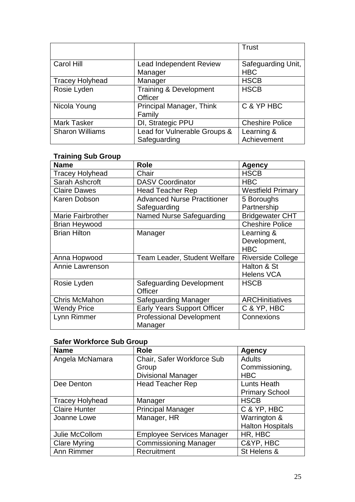|                        |                                | Trust                  |
|------------------------|--------------------------------|------------------------|
|                        |                                |                        |
| Carol Hill             | <b>Lead Independent Review</b> | Safeguarding Unit,     |
|                        | Manager                        | <b>HBC</b>             |
| <b>Tracey Holyhead</b> | Manager                        | <b>HSCB</b>            |
| Rosie Lyden            | Training & Development         | <b>HSCB</b>            |
|                        | Officer                        |                        |
| Nicola Young           | Principal Manager, Think       | C & YP HBC             |
|                        | Family                         |                        |
| <b>Mark Tasker</b>     | DI, Strategic PPU              | <b>Cheshire Police</b> |
| <b>Sharon Williams</b> | Lead for Vulnerable Groups &   | Learning &             |
|                        | Safeguarding                   | Achievement            |

#### **Training Sub Group**

| <b>Name</b>              | <b>Role</b>                                       | <b>Agency</b>            |  |  |
|--------------------------|---------------------------------------------------|--------------------------|--|--|
| <b>Tracey Holyhead</b>   | Chair                                             | <b>HSCB</b>              |  |  |
| Sarah Ashcroft           | <b>DASV Coordinator</b>                           | <b>HBC</b>               |  |  |
| <b>Claire Dawes</b>      | <b>Head Teacher Rep</b>                           | <b>Westfield Primary</b> |  |  |
| Karen Dobson             | <b>Advanced Nurse Practitioner</b>                | 5 Boroughs               |  |  |
|                          | Safeguarding                                      | Partnership              |  |  |
| <b>Marie Fairbrother</b> | <b>Named Nurse Safeguarding</b>                   | <b>Bridgewater CHT</b>   |  |  |
| <b>Brian Heywood</b>     |                                                   | <b>Cheshire Police</b>   |  |  |
| <b>Brian Hilton</b>      | Manager                                           | Learning &               |  |  |
|                          |                                                   | Development,             |  |  |
|                          |                                                   | <b>HBC</b>               |  |  |
| Anna Hopwood             | Team Leader, Student Welfare                      | <b>Riverside College</b> |  |  |
| Annie Lawrenson          |                                                   | Halton & St              |  |  |
|                          |                                                   | <b>Helens VCA</b>        |  |  |
| Rosie Lyden              | <b>Safeguarding Development</b>                   | <b>HSCB</b>              |  |  |
|                          | Officer                                           |                          |  |  |
| <b>Chris McMahon</b>     | Safeguarding Manager                              | <b>ARCHinitiatives</b>   |  |  |
| <b>Wendy Price</b>       | <b>Early Years Support Officer</b><br>C & YP, HBC |                          |  |  |
| Lynn Rimmer              | <b>Professional Development</b>                   | Connexions               |  |  |
|                          | Manager                                           |                          |  |  |

#### **Safer Workforce Sub Group**

| <b>Name</b>            | <b>Role</b>                      | <b>Agency</b>           |  |  |
|------------------------|----------------------------------|-------------------------|--|--|
| Angela McNamara        | Chair, Safer Workforce Sub       | <b>Adults</b>           |  |  |
|                        | Group                            | Commissioning,          |  |  |
|                        | <b>Divisional Manager</b>        | <b>HBC</b>              |  |  |
| Dee Denton             | <b>Head Teacher Rep</b>          | Lunts Heath             |  |  |
|                        |                                  | <b>Primary School</b>   |  |  |
| <b>Tracey Holyhead</b> | Manager                          | <b>HSCB</b>             |  |  |
| <b>Claire Hunter</b>   | <b>Principal Manager</b>         | C & YP, HBC             |  |  |
| Joanne Lowe            | Manager, HR                      | Warrington &            |  |  |
|                        |                                  | <b>Halton Hospitals</b> |  |  |
| Julie McCollom         | <b>Employee Services Manager</b> | HR, HBC                 |  |  |
| <b>Clare Myring</b>    | <b>Commissioning Manager</b>     | C&YP, HBC               |  |  |
| Ann Rimmer             | Recruitment                      | St Helens &             |  |  |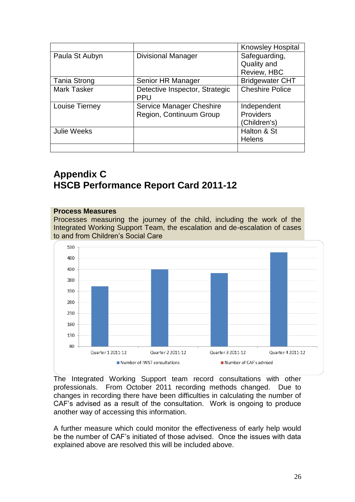|                     |                                | <b>Knowsley Hospital</b> |  |  |  |
|---------------------|--------------------------------|--------------------------|--|--|--|
| Paula St Aubyn      | <b>Divisional Manager</b>      |                          |  |  |  |
|                     |                                | Quality and              |  |  |  |
|                     |                                | Review, HBC              |  |  |  |
| <b>Tania Strong</b> | Senior HR Manager              | <b>Bridgewater CHT</b>   |  |  |  |
| <b>Mark Tasker</b>  | Detective Inspector, Strategic | <b>Cheshire Police</b>   |  |  |  |
|                     | <b>PPU</b>                     |                          |  |  |  |
| Louise Tierney      | Service Manager Cheshire       | Independent              |  |  |  |
|                     | Region, Continuum Group        | <b>Providers</b>         |  |  |  |
|                     |                                | (Children's)             |  |  |  |
| <b>Julie Weeks</b>  |                                | Halton & St              |  |  |  |
|                     |                                | <b>Helens</b>            |  |  |  |
|                     |                                |                          |  |  |  |

# **Appendix C HSCB Performance Report Card 2011-12**

#### **Process Measures**

Processes measuring the journey of the child, including the work of the Integrated Working Support Team, the escalation and de-escalation of cases to and from Children's Social Care



The Integrated Working Support team record consultations with other professionals. From October 2011 recording methods changed. Due to changes in recording there have been difficulties in calculating the number of CAF's advised as a result of the consultation. Work is ongoing to produce another way of accessing this information.

A further measure which could monitor the effectiveness of early help would be the number of CAF's initiated of those advised. Once the issues with data explained above are resolved this will be included above.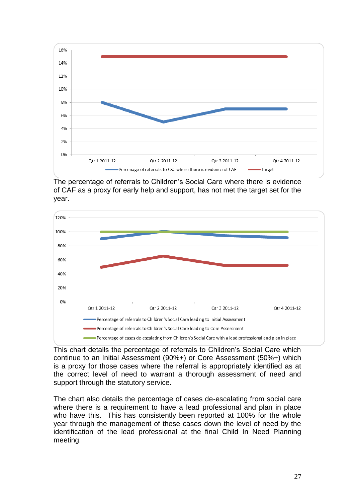

The percentage of referrals to Children's Social Care where there is evidence of CAF as a proxy for early help and support, has not met the target set for the year.



This chart details the percentage of referrals to Children's Social Care which continue to an Initial Assessment (90%+) or Core Assessment (50%+) which is a proxy for those cases where the referral is appropriately identified as at the correct level of need to warrant a thorough assessment of need and support through the statutory service.

The chart also details the percentage of cases de-escalating from social care where there is a requirement to have a lead professional and plan in place who have this. This has consistently been reported at 100% for the whole year through the management of these cases down the level of need by the identification of the lead professional at the final Child In Need Planning meeting.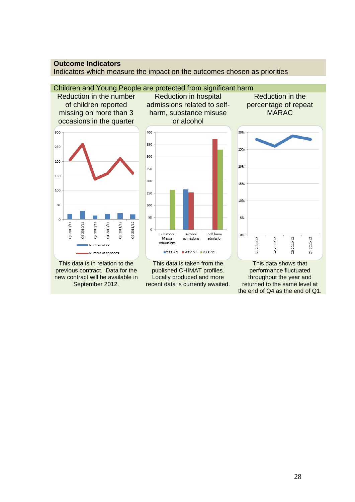#### **Outcome Indicators**

Indicators which measure the impact on the outcomes chosen as priorities

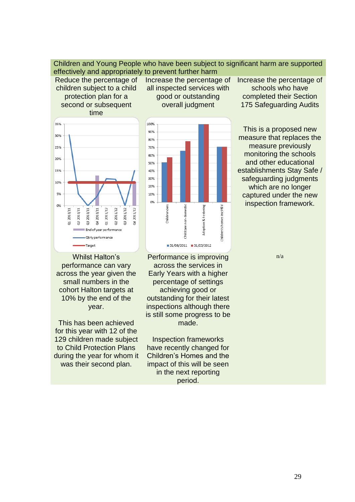Children and Young People who have been subject to significant harm are supported effectively and appropriately to prevent further harm

Reduce the percentage of children subject to a child protection plan for a second or subsequent time



Whilst Halton's performance can vary across the year given the small numbers in the cohort Halton targets at 10% by the end of the year.

This has been achieved for this year with 12 of the 129 children made subject to Child Protection Plans during the year for whom it was their second plan.

Increase the percentage of all inspected services with good or outstanding overall judgment



Performance is improving across the services in Early Years with a higher percentage of settings achieving good or outstanding for their latest inspections although there is still some progress to be made.

Inspection frameworks have recently changed for Children's Homes and the impact of this will be seen in the next reporting period.

Increase the percentage of schools who have completed their Section 175 Safeguarding Audits

This is a proposed new measure that replaces the measure previously monitoring the schools and other educational establishments Stay Safe / safeguarding judgments which are no longer captured under the new inspection framework.

n/a